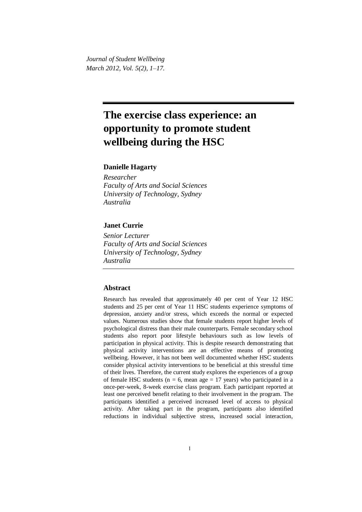*Journal of Student Wellbeing March 2012, Vol. 5(2), 1–17.*

# **The exercise class experience: an opportunity to promote student wellbeing during the HSC**

# **Danielle Hagarty**

*Researcher Faculty of Arts and Social Sciences University of Technology, Sydney Australia*

# **Janet Currie**

*Senior Lecturer Faculty of Arts and Social Sciences University of Technology, Sydney Australia*

## **Abstract**

Research has revealed that approximately 40 per cent of Year 12 HSC students and 25 per cent of Year 11 HSC students experience symptoms of depression, anxiety and/or stress, which exceeds the normal or expected values. Numerous studies show that female students report higher levels of psychological distress than their male counterparts. Female secondary school students also report poor lifestyle behaviours such as low levels of participation in physical activity. This is despite research demonstrating that physical activity interventions are an effective means of promoting wellbeing. However, it has not been well documented whether HSC students consider physical activity interventions to be beneficial at this stressful time of their lives. Therefore, the current study explores the experiences of a group of female HSC students ( $n = 6$ , mean age = 17 years) who participated in a once-per-week, 8-week exercise class program. Each participant reported at least one perceived benefit relating to their involvement in the program. The participants identified a perceived increased level of access to physical activity. After taking part in the program, participants also identified reductions in individual subjective stress, increased social interaction,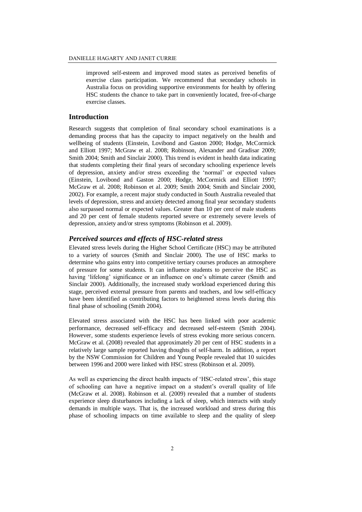improved self-esteem and improved mood states as perceived benefits of exercise class participation. We recommend that secondary schools in Australia focus on providing supportive environments for health by offering HSC students the chance to take part in conveniently located, free-of-charge exercise classes.

#### **Introduction**

Research suggests that completion of final secondary school examinations is a demanding process that has the capacity to impact negatively on the health and wellbeing of students (Einstein, Lovibond and Gaston 2000; Hodge, McCormick and Elliott 1997; McGraw et al. 2008; Robinson, Alexander and Gradisar 2009; Smith 2004; Smith and Sinclair 2000). This trend is evident in health data indicating that students completing their final years of secondary schooling experience levels of depression, anxiety and/or stress exceeding the 'normal' or expected values (Einstein, Lovibond and Gaston 2000; Hodge, McCormick and Elliott 1997; McGraw et al. 2008; Robinson et al. 2009; Smith 2004; Smith and Sinclair 2000, 2002). For example, a recent major study conducted in South Australia revealed that levels of depression, stress and anxiety detected among final year secondary students also surpassed normal or expected values. Greater than 10 per cent of male students and 20 per cent of female students reported severe or extremely severe levels of depression, anxiety and/or stress symptoms (Robinson et al. 2009).

## *Perceived sources and effects of HSC-related stress*

Elevated stress levels during the Higher School Certificate (HSC) may be attributed to a variety of sources (Smith and Sinclair 2000). The use of HSC marks to determine who gains entry into competitive tertiary courses produces an atmosphere of pressure for some students. It can influence students to perceive the HSC as having 'lifelong' significance or an influence on one's ultimate career (Smith and Sinclair 2000). Additionally, the increased study workload experienced during this stage, perceived external pressure from parents and teachers, and low self-efficacy have been identified as contributing factors to heightened stress levels during this final phase of schooling (Smith 2004).

Elevated stress associated with the HSC has been linked with poor academic performance, decreased self-efficacy and decreased self-esteem (Smith 2004). However, some students experience levels of stress evoking more serious concern. McGraw et al. (2008) revealed that approximately 20 per cent of HSC students in a relatively large sample reported having thoughts of self-harm. In addition, a report by the NSW Commission for Children and Young People revealed that 10 suicides between 1996 and 2000 were linked with HSC stress (Robinson et al. 2009).

As well as experiencing the direct health impacts of 'HSC-related stress', this stage of schooling can have a negative impact on a student's overall quality of life (McGraw et al. 2008). Robinson et al. (2009) revealed that a number of students experience sleep disturbances including a lack of sleep, which interacts with study demands in multiple ways. That is, the increased workload and stress during this phase of schooling impacts on time available to sleep and the quality of sleep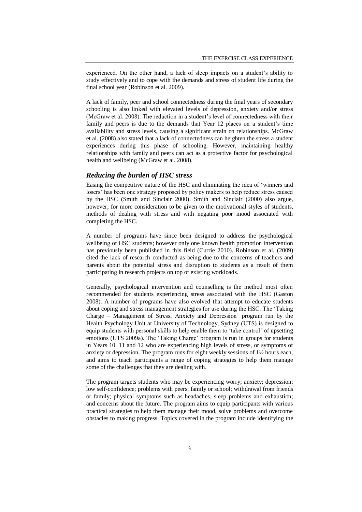experienced. On the other hand, a lack of sleep impacts on a student's ability to study effectively and to cope with the demands and stress of student life during the final school year (Robinson et al. 2009).

A lack of family, peer and school connectedness during the final years of secondary schooling is also linked with elevated levels of depression, anxiety and/or stress (McGraw et al. 2008). The reduction in a student's level of connectedness with their family and peers is due to the demands that Year 12 places on a student's time availability and stress levels, causing a significant strain on relationships. McGraw et al. (2008) also stated that a lack of connectedness can heighten the stress a student experiences during this phase of schooling. However, maintaining healthy relationships with family and peers can act as a protective factor for psychological health and wellbeing (McGraw et al. 2008).

## *Reducing the burden of HSC stress*

Easing the competitive nature of the HSC and eliminating the idea of 'winners and losers' has been one strategy proposed by policy makers to help reduce stress caused by the HSC (Smith and Sinclair 2000). Smith and Sinclair (2000) also argue, however, for more consideration to be given to the motivational styles of students, methods of dealing with stress and with negating poor mood associated with completing the HSC.

A number of programs have since been designed to address the psychological wellbeing of HSC students; however only one known health promotion intervention has previously been published in this field (Currie 2010). Robinson et al. (2009) cited the lack of research conducted as being due to the concerns of teachers and parents about the potential stress and disruption to students as a result of them participating in research projects on top of existing workloads.

Generally, psychological intervention and counselling is the method most often recommended for students experiencing stress associated with the HSC (Gaston 2008). A number of programs have also evolved that attempt to educate students about coping and stress management strategies for use during the HSC. The 'Taking Charge – Management of Stress, Anxiety and Depression' program run by the Health Psychology Unit at University of Technology, Sydney (UTS) is designed to equip students with personal skills to help enable them to 'take control' of upsetting emotions (UTS 2009a). The 'Taking Charge' program is run in groups for students in Years 10, 11 and 12 who are experiencing high levels of stress, or symptoms of anxiety or depression. The program runs for eight weekly sessions of 1½ hours each, and aims to teach participants a range of coping strategies to help them manage some of the challenges that they are dealing with.

The program targets students who may be experiencing worry; anxiety; depression; low self-confidence; problems with peers, family or school; withdrawal from friends or family; physical symptoms such as headaches, sleep problems and exhaustion; and concerns about the future. The program aims to equip participants with various practical strategies to help them manage their mood, solve problems and overcome obstacles to making progress. Topics covered in the program include identifying the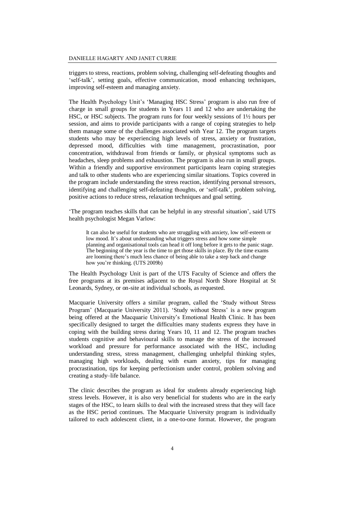triggers to stress, reactions, problem solving, challenging self-defeating thoughts and 'self-talk', setting goals, effective communication, mood enhancing techniques, improving self-esteem and managing anxiety.

The Health Psychology Unit's 'Managing HSC Stress' program is also run free of charge in small groups for students in Years 11 and 12 who are undertaking the HSC, or HSC subjects. The program runs for four weekly sessions of 1½ hours per session, and aims to provide participants with a range of coping strategies to help them manage some of the challenges associated with Year 12. The program targets students who may be experiencing high levels of stress, anxiety or frustration, depressed mood, difficulties with time management, procrastination, poor concentration, withdrawal from friends or family, or physical symptoms such as headaches, sleep problems and exhaustion. The program is also run in small groups. Within a friendly and supportive environment participants learn coping strategies and talk to other students who are experiencing similar situations. Topics covered in the program include understanding the stress reaction, identifying personal stressors, identifying and challenging self-defeating thoughts, or 'self-talk', problem solving, positive actions to reduce stress, relaxation techniques and goal setting.

'The program teaches skills that can be helpful in any stressful situation', said UTS health psychologist Megan Varlow:

It can also be useful for students who are struggling with anxiety, low self-esteem or low mood. It's about understanding what triggers stress and how some simple planning and organisational tools can head it off long before it gets to the panic stage. The beginning of the year is the time to get those skills in place. By the time exams are looming there's much less chance of being able to take a step back and change how you're thinking. (UTS 2009b)

The Health Psychology Unit is part of the UTS Faculty of Science and offers the free programs at its premises adjacent to the Royal North Shore Hospital at St Leonards, Sydney, or on-site at individual schools, as requested.

Macquarie University offers a similar program, called the 'Study without Stress Program' (Macquarie University 2011). 'Study without Stress' is a new program being offered at the Macquarie University's Emotional Health Clinic. It has been specifically designed to target the difficulties many students express they have in coping with the building stress during Years 10, 11 and 12. The program teaches students cognitive and behavioural skills to manage the stress of the increased workload and pressure for performance associated with the HSC, including understanding stress, stress management, challenging unhelpful thinking styles, managing high workloads, dealing with exam anxiety, tips for managing procrastination, tips for keeping perfectionism under control, problem solving and creating a study–life balance.

The clinic describes the program as ideal for students already experiencing high stress levels. However, it is also very beneficial for students who are in the early stages of the HSC, to learn skills to deal with the increased stress that they will face as the HSC period continues. The Macquarie University program is individually tailored to each adolescent client, in a one-to-one format. However, the program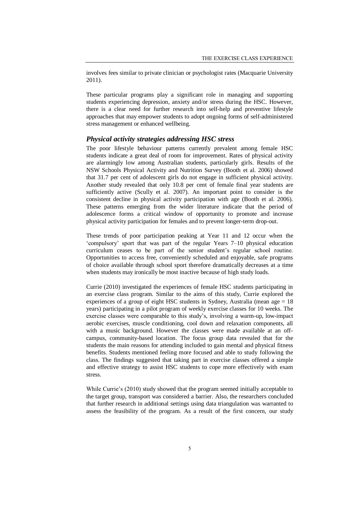involves fees similar to private clinician or psychologist rates (Macquarie University 2011).

These particular programs play a significant role in managing and supporting students experiencing depression, anxiety and/or stress during the HSC. However, there is a clear need for further research into self-help and preventive lifestyle approaches that may empower students to adopt ongoing forms of self-administered stress management or enhanced wellbeing.

## *Physical activity strategies addressing HSC stress*

The poor lifestyle behaviour patterns currently prevalent among female HSC students indicate a great deal of room for improvement. Rates of physical activity are alarmingly low among Australian students, particularly girls. Results of the NSW Schools Physical Activity and Nutrition Survey (Booth et al. 2006) showed that 31.7 per cent of adolescent girls do not engage in sufficient physical activity. Another study revealed that only 10.8 per cent of female final year students are sufficiently active (Scully et al. 2007). An important point to consider is the consistent decline in physical activity participation with age (Booth et al. 2006). These patterns emerging from the wider literature indicate that the period of adolescence forms a critical window of opportunity to promote and increase physical activity participation for females and to prevent longer-term drop-out.

These trends of poor participation peaking at Year 11 and 12 occur when the 'compulsory' sport that was part of the regular Years 7–10 physical education curriculum ceases to be part of the senior student's regular school routine. Opportunities to access free, conveniently scheduled and enjoyable, safe programs of choice available through school sport therefore dramatically decreases at a time when students may ironically be most inactive because of high study loads.

Currie (2010) investigated the experiences of female HSC students participating in an exercise class program. Similar to the aims of this study, Currie explored the experiences of a group of eight HSC students in Sydney, Australia (mean age  $= 18$ years) participating in a pilot program of weekly exercise classes for 10 weeks. The exercise classes were comparable to this study's, involving a warm-up, low-impact aerobic exercises, muscle conditioning, cool down and relaxation components, all with a music background. However the classes were made available at an offcampus, community-based location. The focus group data revealed that for the students the main reasons for attending included to gain mental and physical fitness benefits. Students mentioned feeling more focused and able to study following the class. The findings suggested that taking part in exercise classes offered a simple and effective strategy to assist HSC students to cope more effectively with exam stress.

While Currie's (2010) study showed that the program seemed initially acceptable to the target group, transport was considered a barrier. Also, the researchers concluded that further research in additional settings using data triangulation was warranted to assess the feasibility of the program. As a result of the first concern, our study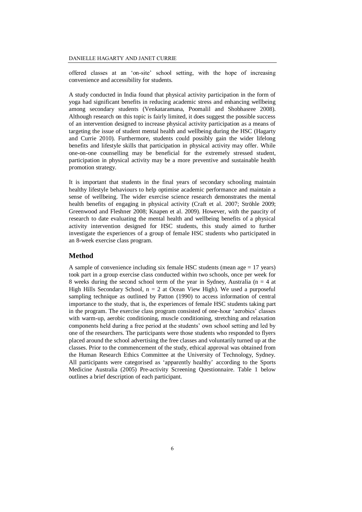offered classes at an 'on-site' school setting, with the hope of increasing convenience and accessibility for students.

A study conducted in India found that physical activity participation in the form of yoga had significant benefits in reducing academic stress and enhancing wellbeing among secondary students (Venkataramana, Poomalil and Shobhasree 2008). Although research on this topic is fairly limited, it does suggest the possible success of an intervention designed to increase physical activity participation as a means of targeting the issue of student mental health and wellbeing during the HSC (Hagarty and Currie 2010). Furthermore, students could possibly gain the wider lifelong benefits and lifestyle skills that participation in physical activity may offer. While one-on-one counselling may be beneficial for the extremely stressed student, participation in physical activity may be a more preventive and sustainable health promotion strategy.

It is important that students in the final years of secondary schooling maintain healthy lifestyle behaviours to help optimise academic performance and maintain a sense of wellbeing. The wider exercise science research demonstrates the mental health benefits of engaging in physical activity (Craft et al. 2007; Ströhle 2009; Greenwood and Fleshner 2008; Knapen et al. 2009). However, with the paucity of research to date evaluating the mental health and wellbeing benefits of a physical activity intervention designed for HSC students, this study aimed to further investigate the experiences of a group of female HSC students who participated in an 8-week exercise class program.

#### **Method**

A sample of convenience including six female HSC students (mean age = 17 years) took part in a group exercise class conducted within two schools, once per week for 8 weeks during the second school term of the year in Sydney, Australia ( $n = 4$  at High Hills Secondary School,  $n = 2$  at Ocean View High). We used a purposeful sampling technique as outlined by Patton (1990) to access information of central importance to the study, that is, the experiences of female HSC students taking part in the program. The exercise class program consisted of one-hour 'aerobics' classes with warm-up, aerobic conditioning, muscle conditioning, stretching and relaxation components held during a free period at the students' own school setting and led by one of the researchers. The participants were those students who responded to flyers placed around the school advertising the free classes and voluntarily turned up at the classes. Prior to the commencement of the study, ethical approval was obtained from the Human Research Ethics Committee at the University of Technology, Sydney. All participants were categorised as 'apparently healthy' according to the Sports Medicine Australia (2005) Pre-activity Screening Questionnaire. Table 1 below outlines a brief description of each participant.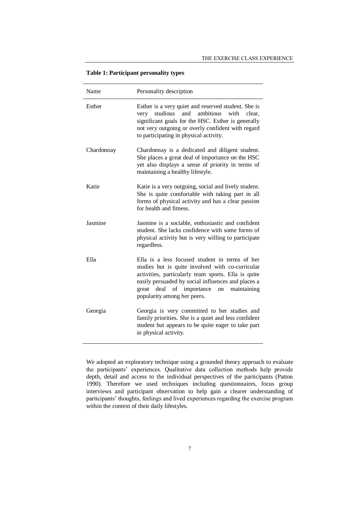| Table 1: Participant personality types |  |  |  |
|----------------------------------------|--|--|--|
|----------------------------------------|--|--|--|

| Name       | Personality description                                                                                                                                                                                                                                                                      |
|------------|----------------------------------------------------------------------------------------------------------------------------------------------------------------------------------------------------------------------------------------------------------------------------------------------|
| Esther     | Esther is a very quiet and reserved student. She is<br>studious<br>ambitious<br>and<br>with<br>very<br>clear.<br>significant goals for the HSC. Esther is generally<br>not very outgoing or overly confident with regard<br>to participating in physical activity.                           |
| Chardonnay | Chardonnay is a dedicated and diligent student.<br>She places a great deal of importance on the HSC<br>yet also displays a sense of priority in terms of<br>maintaining a healthy lifestyle.                                                                                                 |
| Katie      | Katie is a very outgoing, social and lively student.<br>She is quite comfortable with taking part in all<br>forms of physical activity and has a clear passion<br>for health and fitness.                                                                                                    |
| Jasmine    | Jasmine is a sociable, enthusiastic and confident<br>student. She lacks confidence with some forms of<br>physical activity but is very willing to participate<br>regardless.                                                                                                                 |
| Ella       | Ella is a less focused student in terms of her<br>studies but is quite involved with co-curricular<br>activities, particularly team sports. Ella is quite<br>easily persuaded by social influences and places a<br>great deal of importance<br>on maintaining<br>popularity among her peers. |
| Georgia    | Georgia is very committed to her studies and<br>family priorities. She is a quiet and less confident<br>student but appears to be quite eager to take part<br>in physical activity.                                                                                                          |

We adopted an exploratory technique using a grounded theory approach to evaluate the participants' experiences. Qualitative data collection methods help provide depth, detail and access to the individual perspectives of the participants (Patton 1990). Therefore we used techniques including questionnaires, focus group interviews and participant observation to help gain a clearer understanding of participants' thoughts, feelings and lived experiences regarding the exercise program within the context of their daily lifestyles.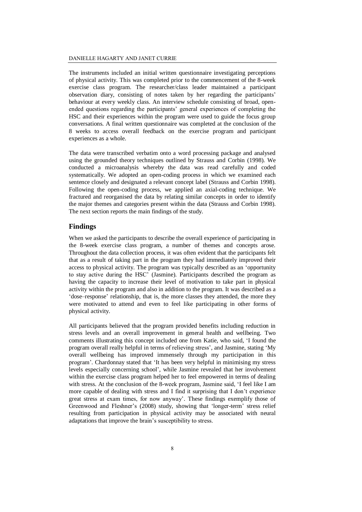The instruments included an initial written questionnaire investigating perceptions of physical activity. This was completed prior to the commencement of the 8-week exercise class program. The researcher/class leader maintained a participant observation diary, consisting of notes taken by her regarding the participants' behaviour at every weekly class. An interview schedule consisting of broad, openended questions regarding the participants' general experiences of completing the HSC and their experiences within the program were used to guide the focus group conversations. A final written questionnaire was completed at the conclusion of the 8 weeks to access overall feedback on the exercise program and participant experiences as a whole.

The data were transcribed verbatim onto a word processing package and analysed using the grounded theory techniques outlined by Strauss and Corbin (1998). We conducted a microanalysis whereby the data was read carefully and coded systematically. We adopted an open-coding process in which we examined each sentence closely and designated a relevant concept label (Strauss and Corbin 1998). Following the open-coding process, we applied an axial-coding technique. We fractured and reorganised the data by relating similar concepts in order to identify the major themes and categories present within the data (Strauss and Corbin 1998). The next section reports the main findings of the study.

## **Findings**

When we asked the participants to describe the overall experience of participating in the 8-week exercise class program, a number of themes and concepts arose. Throughout the data collection process, it was often evident that the participants felt that as a result of taking part in the program they had immediately improved their access to physical activity. The program was typically described as an 'opportunity to stay active during the HSC' (Jasmine). Participants described the program as having the capacity to increase their level of motivation to take part in physical activity within the program and also in addition to the program. It was described as a 'dose–response' relationship, that is, the more classes they attended, the more they were motivated to attend and even to feel like participating in other forms of physical activity.

All participants believed that the program provided benefits including reduction in stress levels and an overall improvement in general health and wellbeing. Two comments illustrating this concept included one from Katie, who said, 'I found the program overall really helpful in terms of relieving stress', and Jasmine, stating 'My overall wellbeing has improved immensely through my participation in this program'. Chardonnay stated that 'It has been very helpful in minimising my stress levels especially concerning school', while Jasmine revealed that her involvement within the exercise class program helped her to feel empowered in terms of dealing with stress. At the conclusion of the 8-week program, Jasmine said, 'I feel like I am more capable of dealing with stress and I find it surprising that I don't experience great stress at exam times, for now anyway'. These findings exemplify those of Greenwood and Fleshner's (2008) study, showing that 'longer-term' stress relief resulting from participation in physical activity may be associated with neural adaptations that improve the brain's susceptibility to stress.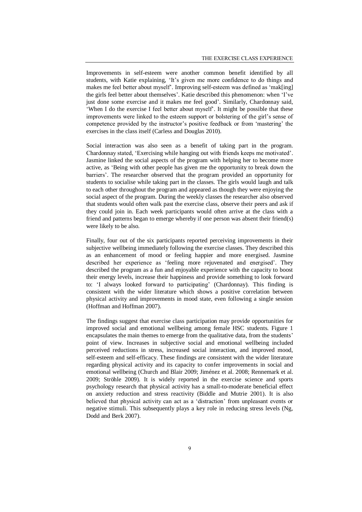Improvements in self-esteem were another common benefit identified by all students, with Katie explaining, 'It's given me more confidence to do things and makes me feel better about myself'. Improving self-esteem was defined as 'mak[ing] the girls feel better about themselves'. Katie described this phenomenon: when 'I've just done some exercise and it makes me feel good'. Similarly, Chardonnay said, 'When I do the exercise I feel better about myself'. It might be possible that these improvements were linked to the esteem support or bolstering of the girl's sense of competence provided by the instructor's positive feedback or from 'mastering' the exercises in the class itself (Carless and Douglas 2010).

Social interaction was also seen as a benefit of taking part in the program. Chardonnay stated, 'Exercising while hanging out with friends keeps me motivated'. Jasmine linked the social aspects of the program with helping her to become more active, as 'Being with other people has given me the opportunity to break down the barriers'. The researcher observed that the program provided an opportunity for students to socialise while taking part in the classes. The girls would laugh and talk to each other throughout the program and appeared as though they were enjoying the social aspect of the program. During the weekly classes the researcher also observed that students would often walk past the exercise class, observe their peers and ask if they could join in. Each week participants would often arrive at the class with a friend and patterns began to emerge whereby if one person was absent their friend(s) were likely to be also.

Finally, four out of the six participants reported perceiving improvements in their subjective wellbeing immediately following the exercise classes. They described this as an enhancement of mood or feeling happier and more energised. Jasmine described her experience as 'feeling more rejuvenated and energised'. They described the program as a fun and enjoyable experience with the capacity to boost their energy levels, increase their happiness and provide something to look forward to: 'I always looked forward to participating' (Chardonnay). This finding is consistent with the wider literature which shows a positive correlation between physical activity and improvements in mood state, even following a single session (Hoffman and Hoffman 2007).

The findings suggest that exercise class participation may provide opportunities for improved social and emotional wellbeing among female HSC students. Figure 1 encapsulates the main themes to emerge from the qualitative data, from the students' point of view. Increases in subjective social and emotional wellbeing included perceived reductions in stress, increased social interaction, and improved mood, self-esteem and self-efficacy. These findings are consistent with the wider literature regarding physical activity and its capacity to confer improvements in social and emotional wellbeing (Church and Blair 2009; Jiménez et al. 2008; Rennemark et al. 2009; Ströhle 2009). It is widely reported in the exercise science and sports psychology research that physical activity has a small-to-moderate beneficial effect on anxiety reduction and stress reactivity (Biddle and Mutrie 2001). It is also believed that physical activity can act as a 'distraction' from unpleasant events or negative stimuli. This subsequently plays a key role in reducing stress levels (Ng, Dodd and Berk 2007).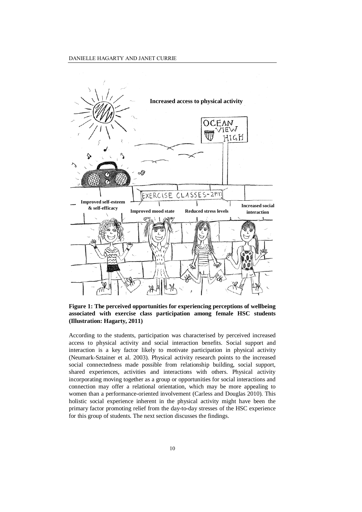

**Figure 1: The perceived opportunities for experiencing perceptions of wellbeing associated with exercise class participation among female HSC students (Illustration: Hagarty, 2011)**

According to the students, participation was characterised by perceived increased access to physical activity and social interaction benefits. Social support and interaction is a key factor likely to motivate participation in physical activity (Neumark-Sztainer et al. 2003). Physical activity research points to the increased social connectedness made possible from relationship building, social support, shared experiences, activities and interactions with others. Physical activity incorporating moving together as a group or opportunities for social interactions and connection may offer a relational orientation, which may be more appealing to women than a performance-oriented involvement (Carless and Douglas 2010). This holistic social experience inherent in the physical activity might have been the primary factor promoting relief from the day-to-day stresses of the HSC experience for this group of students. The next section discusses the findings.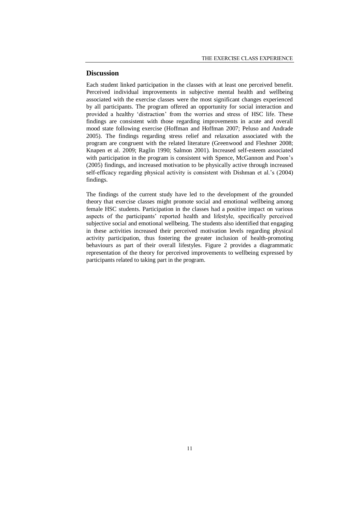## **Discussion**

Each student linked participation in the classes with at least one perceived benefit. Perceived individual improvements in subjective mental health and wellbeing associated with the exercise classes were the most significant changes experienced by all participants. The program offered an opportunity for social interaction and provided a healthy 'distraction' from the worries and stress of HSC life. These findings are consistent with those regarding improvements in acute and overall mood state following exercise (Hoffman and Hoffman 2007; Peluso and Andrade 2005). The findings regarding stress relief and relaxation associated with the program are congruent with the related literature (Greenwood and Fleshner 2008; Knapen et al. 2009; Raglin 1990; Salmon 2001). Increased self-esteem associated with participation in the program is consistent with Spence, McGannon and Poon's (2005) findings, and increased motivation to be physically active through increased self-efficacy regarding physical activity is consistent with Dishman et al.'s (2004) findings.

The findings of the current study have led to the development of the grounded theory that exercise classes might promote social and emotional wellbeing among female HSC students. Participation in the classes had a positive impact on various aspects of the participants' reported health and lifestyle, specifically perceived subjective social and emotional wellbeing. The students also identified that engaging in these activities increased their perceived motivation levels regarding physical activity participation, thus fostering the greater inclusion of health-promoting behaviours as part of their overall lifestyles. Figure 2 provides a diagrammatic representation of the theory for perceived improvements to wellbeing expressed by participants related to taking part in the program.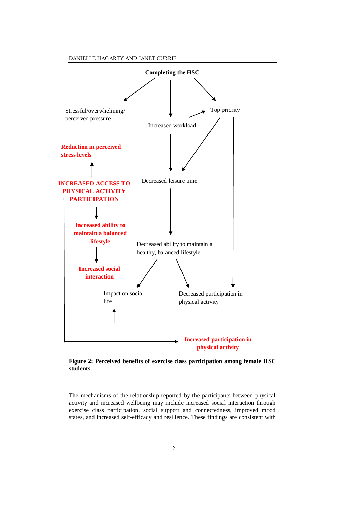DANIELLE HAGARTY AND JANET CURRIE



**Figure 2: Perceived benefits of exercise class participation among female HSC students**

The mechanisms of the relationship reported by the participants between physical activity and increased wellbeing may include increased social interaction through exercise class participation, social support and connectedness, improved mood states, and increased self-efficacy and resilience. These findings are consistent with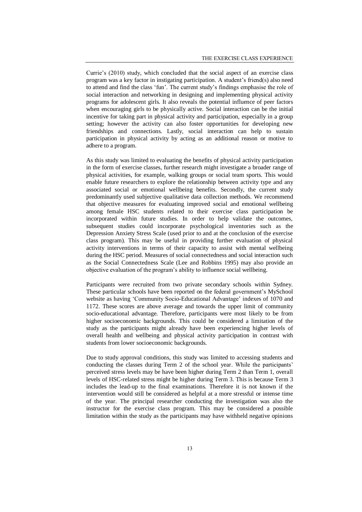Currie's (2010) study, which concluded that the social aspect of an exercise class program was a key factor in instigating participation. A student's friend(s) also need to attend and find the class 'fun'. The current study's findings emphasise the role of social interaction and networking in designing and implementing physical activity programs for adolescent girls. It also reveals the potential influence of peer factors when encouraging girls to be physically active. Social interaction can be the initial incentive for taking part in physical activity and participation, especially in a group setting; however the activity can also foster opportunities for developing new friendships and connections. Lastly, social interaction can help to sustain participation in physical activity by acting as an additional reason or motive to adhere to a program.

As this study was limited to evaluating the benefits of physical activity participation in the form of exercise classes, further research might investigate a broader range of physical activities, for example, walking groups or social team sports. This would enable future researchers to explore the relationship between activity type and any associated social or emotional wellbeing benefits. Secondly, the current study predominantly used subjective qualitative data collection methods. We recommend that objective measures for evaluating improved social and emotional wellbeing among female HSC students related to their exercise class participation be incorporated within future studies. In order to help validate the outcomes, subsequent studies could incorporate psychological inventories such as the Depression Anxiety Stress Scale (used prior to and at the conclusion of the exercise class program). This may be useful in providing further evaluation of physical activity interventions in terms of their capacity to assist with mental wellbeing during the HSC period. Measures of social connectedness and social interaction such as the Social Connectedness Scale (Lee and Robbins 1995) may also provide an objective evaluation of the program's ability to influence social wellbeing.

Participants were recruited from two private secondary schools within Sydney. These particular schools have been reported on the federal government's MySchool website as having 'Community Socio-Educational Advantage' indexes of 1070 and 1172. These scores are above average and towards the upper limit of community socio-educational advantage. Therefore, participants were most likely to be from higher socioeconomic backgrounds. This could be considered a limitation of the study as the participants might already have been experiencing higher levels of overall health and wellbeing and physical activity participation in contrast with students from lower socioeconomic backgrounds.

Due to study approval conditions, this study was limited to accessing students and conducting the classes during Term 2 of the school year. While the participants' perceived stress levels may be have been higher during Term 2 than Term 1, overall levels of HSC-related stress might be higher during Term 3. This is because Term 3 includes the lead-up to the final examinations. Therefore it is not known if the intervention would still be considered as helpful at a more stressful or intense time of the year. The principal researcher conducting the investigation was also the instructor for the exercise class program. This may be considered a possible limitation within the study as the participants may have withheld negative opinions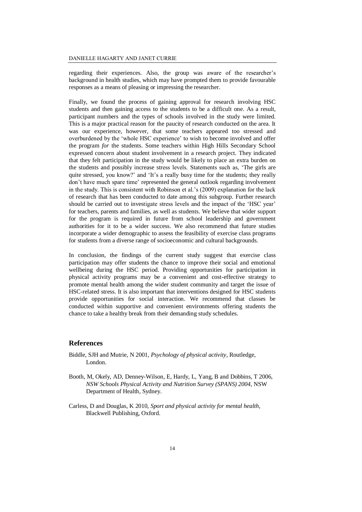regarding their experiences. Also, the group was aware of the researcher's background in health studies, which may have prompted them to provide favourable responses as a means of pleasing or impressing the researcher.

Finally, we found the process of gaining approval for research involving HSC students and then gaining access to the students to be a difficult one. As a result, participant numbers and the types of schools involved in the study were limited. This is a major practical reason for the paucity of research conducted on the area. It was our experience, however, that some teachers appeared too stressed and overburdened by the 'whole HSC experience' to wish to become involved and offer the program *for* the students. Some teachers within High Hills Secondary School expressed concern about student involvement in a research project. They indicated that they felt participation in the study would be likely to place an extra burden on the students and possibly increase stress levels. Statements such as, 'The girls are quite stressed, you know?' and 'It's a really busy time for the students; they really don't have much spare time' represented the general outlook regarding involvement in the study. This is consistent with Robinson et al.'s (2009) explanation for the lack of research that has been conducted to date among this subgroup. Further research should be carried out to investigate stress levels and the impact of the 'HSC year' for teachers, parents and families, as well as students. We believe that wider support for the program is required in future from school leadership and government authorities for it to be a wider success. We also recommend that future studies incorporate a wider demographic to assess the feasibility of exercise class programs for students from a diverse range of socioeconomic and cultural backgrounds.

In conclusion, the findings of the current study suggest that exercise class participation may offer students the chance to improve their social and emotional wellbeing during the HSC period. Providing opportunities for participation in physical activity programs may be a convenient and cost-effective strategy to promote mental health among the wider student community and target the issue of HSC-related stress. It is also important that interventions designed for HSC students provide opportunities for social interaction. We recommend that classes be conducted within supportive and convenient environments offering students the chance to take a healthy break from their demanding study schedules.

#### **References**

- Biddle, SJH and Mutrie, N 2001, *Psychology of physical activity*, Routledge, London.
- Booth, M, Okely, AD, Denney-Wilson, E, Hardy, L, Yang, B and Dobbins, T 2006, *NSW Schools Physical Activity and Nutrition Survey (SPANS) 2004*, NSW Department of Health, Sydney.
- Carless, D and Douglas, K 2010, *Sport and physical activity for mental health*, Blackwell Publishing, Oxford.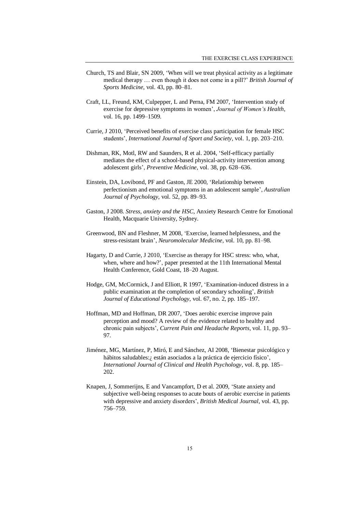- Church, TS and Blair, SN 2009, 'When will we treat physical activity as a legitimate medical therapy … even though it does not come in a pill?' *British Journal of Sports Medicine*, vol. 43, pp. 80–81.
- Craft, LL, Freund, KM, Culpepper, L and Perna, FM 2007, 'Intervention study of exercise for depressive symptoms in women', *Journal of Women's Health*, vol. 16, pp. 1499–1509.
- Currie, J 2010, 'Perceived benefits of exercise class participation for female HSC students', *International Journal of Sport and Society*, vol. 1, pp. 203–210.
- Dishman, RK, Motl, RW and Saunders, R et al. 2004, 'Self-efficacy partially mediates the effect of a school-based physical-activity intervention among adolescent girls', *Preventive Medicine*, vol. 38, pp. 628–636.
- Einstein, DA, Lovibond, PF and Gaston, JE 2000, 'Relationship between perfectionism and emotional symptoms in an adolescent sample', *Australian Journal of Psychology*, vol. 52, pp. 89–93.
- Gaston, J 2008. *Stress, anxiety and the HSC*, Anxiety Research Centre for Emotional Health, Macquarie University, Sydney.
- Greenwood, BN and Fleshner, M 2008, 'Exercise, learned helplessness, and the stress-resistant brain', *Neuromolecular Medicine*, vol. 10, pp. 81–98.
- Hagarty, D and Currie, J 2010, 'Exercise as therapy for HSC stress: who, what, when, where and how?', paper presented at the 11th International Mental Health Conference, Gold Coast, 18–20 August.
- Hodge, GM, McCormick, J and Elliott, R 1997, 'Examination-induced distress in a public examination at the completion of secondary schooling', *British Journal of Educational Psychology*, vol. 67, no. 2, pp. 185–197.
- Hoffman, MD and Hoffman, DR 2007, 'Does aerobic exercise improve pain perception and mood? A review of the evidence related to healthy and chronic pain subjects', *Current Pain and Headache Reports*, vol. 11, pp. 93– 97.
- Jiménez, MG, Martínez, P, Miró, E and Sánchez, AI 2008, 'Bienestar psicológico y hábitos saludables:¿ están asociados a la práctica de ejercicio físico', *International Journal of Clinical and Health Psychology*, vol. 8, pp. 185– 202.
- Knapen, J, Sommerijns, E and Vancampfort, D et al. 2009, 'State anxiety and subjective well-being responses to acute bouts of aerobic exercise in patients with depressive and anxiety disorders', *British Medical Journal*, vol. 43, pp. 756–759.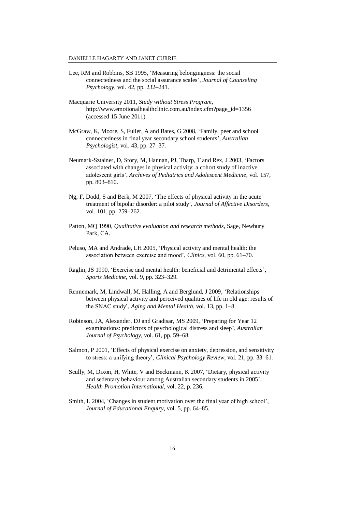- Lee, RM and Robbins, SB 1995, 'Measuring belongingness: the social connectedness and the social assurance scales', *Journal of Counseling Psychology*, vol. 42, pp. 232–241.
- Macquarie University 2011, *Study without Stress Program*, [http://www.emotionalhealthclinic.com.au/index.cfm?page\\_id=1356](http://www.emotionalhealthclinic.com.au/index.cfm?page_id=1356) (accessed 15 June 2011).
- McGraw, K, Moore, S, Fuller, A and Bates, G 2008, 'Family, peer and school connectedness in final year secondary school students', *Australian Psychologist*, vol. 43, pp. 27–37.
- Neumark-Sztainer, D, Story, M, Hannan, PJ, Tharp, T and Rex, J 2003, 'Factors associated with changes in physical activity: a cohort study of inactive adolescent girls', *Archives of Pediatrics and Adolescent Medicine*, vol. 157, pp. 803–810.
- Ng, F, Dodd, S and Berk, M 2007, 'The effects of physical activity in the acute treatment of bipolar disorder: a pilot study', *Journal of Affective Disorders*, vol. 101, pp. 259–262.
- Patton, MQ 1990, *Qualitative evaluation and research methods*, Sage, Newbury Park, CA.
- Peluso, MA and Andrade, LH 2005, 'Physical activity and mental health: the association between exercise and mood', *Clinics*, vol. 60, pp. 61–70.
- Raglin, JS 1990, 'Exercise and mental health: beneficial and detrimental effects', *Sports Medicine*, vol. 9, pp. 323–329.
- Rennemark, M, Lindwall, M, Halling, A and Berglund, J 2009, 'Relationships between physical activity and perceived qualities of life in old age: results of the SNAC study', *Aging and Mental Health*, vol. 13, pp. 1–8.
- Robinson, JA, Alexander, DJ and Gradisar, MS 2009, 'Preparing for Year 12 examinations: predictors of psychological distress and sleep', *Australian Journal of Psychology*, vol. 61, pp. 59–68.
- Salmon, P 2001, 'Effects of physical exercise on anxiety, depression, and sensitivity to stress: a unifying theory', *Clinical Psychology Review*, vol. 21, pp. 33–61.
- Scully, M, Dixon, H, White, V and Beckmann, K 2007, 'Dietary, physical activity and sedentary behaviour among Australian secondary students in 2005', *Health Promotion International*, vol. 22, p. 236.
- Smith, L 2004, 'Changes in student motivation over the final year of high school', *Journal of Educational Enquiry*, vol. 5, pp. 64–85.